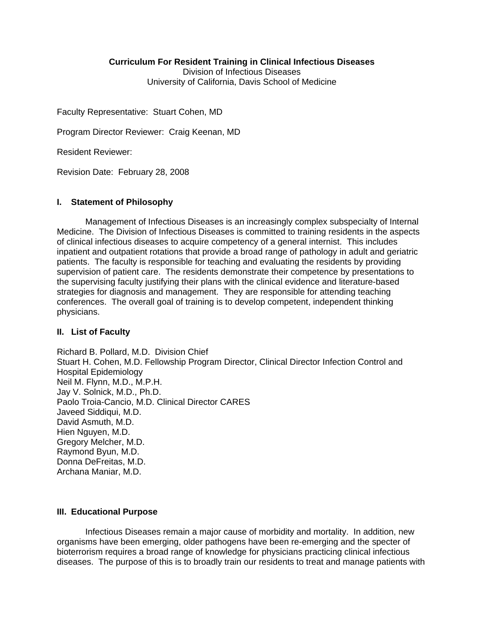#### **Curriculum For Resident Training in Clinical Infectious Diseases**

Division of Infectious Diseases University of California, Davis School of Medicine

Faculty Representative: Stuart Cohen, MD

Program Director Reviewer: Craig Keenan, MD

Resident Reviewer:

Revision Date: February 28, 2008

### **I. Statement of Philosophy**

Management of Infectious Diseases is an increasingly complex subspecialty of Internal Medicine. The Division of Infectious Diseases is committed to training residents in the aspects of clinical infectious diseases to acquire competency of a general internist. This includes inpatient and outpatient rotations that provide a broad range of pathology in adult and geriatric patients. The faculty is responsible for teaching and evaluating the residents by providing supervision of patient care. The residents demonstrate their competence by presentations to the supervising faculty justifying their plans with the clinical evidence and literature-based strategies for diagnosis and management. They are responsible for attending teaching conferences. The overall goal of training is to develop competent, independent thinking physicians.

#### **II. List of Faculty**

Richard B. Pollard, M.D. Division Chief Stuart H. Cohen, M.D. Fellowship Program Director, Clinical Director Infection Control and Hospital Epidemiology Neil M. Flynn, M.D., M.P.H. Jay V. Solnick, M.D., Ph.D. Paolo Troia-Cancio, M.D. Clinical Director CARES Javeed Siddiqui, M.D. David Asmuth, M.D. Hien Nguyen, M.D. Gregory Melcher, M.D. Raymond Byun, M.D. Donna DeFreitas, M.D. Archana Maniar, M.D.

#### **III. Educational Purpose**

 Infectious Diseases remain a major cause of morbidity and mortality. In addition, new organisms have been emerging, older pathogens have been re-emerging and the specter of bioterrorism requires a broad range of knowledge for physicians practicing clinical infectious diseases. The purpose of this is to broadly train our residents to treat and manage patients with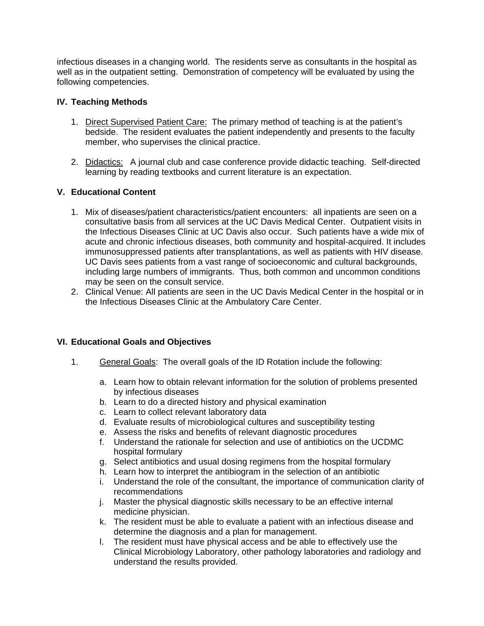infectious diseases in a changing world. The residents serve as consultants in the hospital as well as in the outpatient setting. Demonstration of competency will be evaluated by using the following competencies.

## **IV. Teaching Methods**

- 1. Direct Supervised Patient Care: The primary method of teaching is at the patient's bedside. The resident evaluates the patient independently and presents to the faculty member, who supervises the clinical practice.
- 2. Didactics: A journal club and case conference provide didactic teaching. Self-directed learning by reading textbooks and current literature is an expectation.

## **V. Educational Content**

- 1. Mix of diseases/patient characteristics/patient encounters: all inpatients are seen on a consultative basis from all services at the UC Davis Medical Center. Outpatient visits in the Infectious Diseases Clinic at UC Davis also occur. Such patients have a wide mix of acute and chronic infectious diseases, both community and hospital-acquired. It includes immunosuppressed patients after transplantations, as well as patients with HIV disease. UC Davis sees patients from a vast range of socioeconomic and cultural backgrounds, including large numbers of immigrants. Thus, both common and uncommon conditions may be seen on the consult service.
- 2. Clinical Venue: All patients are seen in the UC Davis Medical Center in the hospital or in the Infectious Diseases Clinic at the Ambulatory Care Center.

## **VI. Educational Goals and Objectives**

- 1. General Goals: The overall goals of the ID Rotation include the following:
	- a. Learn how to obtain relevant information for the solution of problems presented by infectious diseases
	- b. Learn to do a directed history and physical examination
	- c. Learn to collect relevant laboratory data
	- d. Evaluate results of microbiological cultures and susceptibility testing
	- e. Assess the risks and benefits of relevant diagnostic procedures
	- f. Understand the rationale for selection and use of antibiotics on the UCDMC hospital formulary
	- g. Select antibiotics and usual dosing regimens from the hospital formulary
	- h. Learn how to interpret the antibiogram in the selection of an antibiotic
	- i. Understand the role of the consultant, the importance of communication clarity of recommendations
	- j. Master the physical diagnostic skills necessary to be an effective internal medicine physician.
	- k. The resident must be able to evaluate a patient with an infectious disease and determine the diagnosis and a plan for management.
	- l. The resident must have physical access and be able to effectively use the Clinical Microbiology Laboratory, other pathology laboratories and radiology and understand the results provided.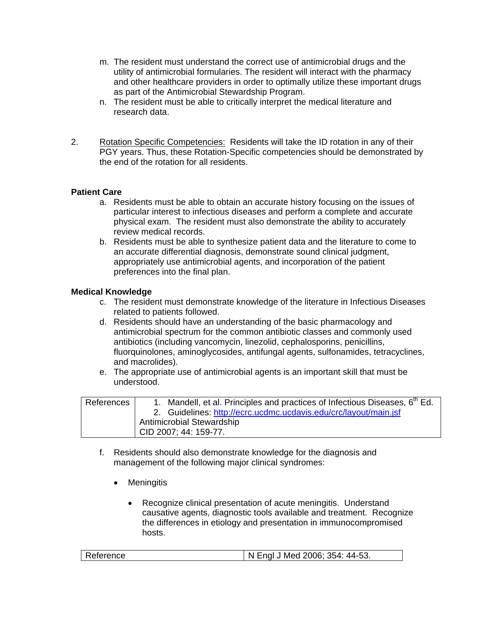- m. The resident must understand the correct use of antimicrobial drugs and the utility of antimicrobial formularies. The resident will interact with the pharmacy and other healthcare providers in order to optimally utilize these important drugs as part of the Antimicrobial Stewardship Program.
- n. The resident must be able to critically interpret the medical literature and research data.
- 2. Rotation Specific Competencies: Residents will take the ID rotation in any of their PGY years. Thus, these Rotation-Specific competencies should be demonstrated by the end of the rotation for all residents.

# **Patient Care**

- a. Residents must be able to obtain an accurate history focusing on the issues of particular interest to infectious diseases and perform a complete and accurate physical exam. The resident must also demonstrate the ability to accurately review medical records.
- b. Residents must be able to synthesize patient data and the literature to come to an accurate differential diagnosis, demonstrate sound clinical judgment, appropriately use antimicrobial agents, and incorporation of the patient preferences into the final plan.

## **Medical Knowledge**

- c. The resident must demonstrate knowledge of the literature in Infectious Diseases related to patients followed.
- d. Residents should have an understanding of the basic pharmacology and antimicrobial spectrum for the common antibiotic classes and commonly used antibiotics (including vancomycin, linezolid, cephalosporins, penicillins, fluorquinolones, aminoglycosides, antifungal agents, sulfonamides, tetracyclines, and macrolides).
- e. The appropriate use of antimicrobial agents is an important skill that must be understood.

| References | 1. Mandell, et al. Principles and practices of Infectious Diseases, 6 <sup>th</sup> Ed. |
|------------|-----------------------------------------------------------------------------------------|
|            | 2. Guidelines: http://ecrc.ucdmc.ucdavis.edu/crc/layout/main.jsf                        |
|            | <b>Antimicrobial Stewardship</b>                                                        |
|            | CID 2007; 44: 159-77.                                                                   |

- f. Residents should also demonstrate knowledge for the diagnosis and management of the following major clinical syndromes:
	- Meningitis
		- Recognize clinical presentation of acute meningitis. Understand causative agents, diagnostic tools available and treatment. Recognize the differences in etiology and presentation in immunocompromised hosts.

| I N Engl J Med 2006; 354: 44-53.<br>Reference |
|-----------------------------------------------|
|-----------------------------------------------|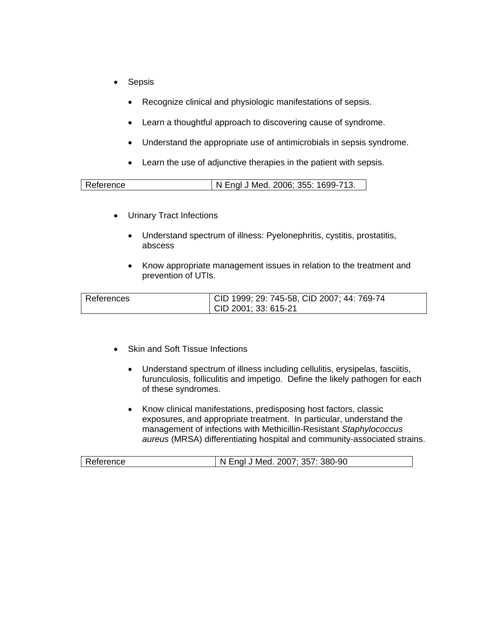- **Sepsis** 
	- Recognize clinical and physiologic manifestations of sepsis.
	- Learn a thoughtful approach to discovering cause of syndrome.
	- Understand the appropriate use of antimicrobials in sepsis syndrome.
	- Learn the use of adjunctive therapies in the patient with sepsis.

| Reference | N Engl J Med. 2006; 355: 1699-713. |
|-----------|------------------------------------|

- Urinary Tract Infections
	- Understand spectrum of illness: Pyelonephritis, cystitis, prostatitis, abscess
	- Know appropriate management issues in relation to the treatment and prevention of UTIs.

| References | CID 1999; 29: 745-58, CID 2007; 44: 769-74 |
|------------|--------------------------------------------|
|            | CID 2001; 33: 615-21                       |

- Skin and Soft Tissue Infections
	- Understand spectrum of illness including cellulitis, erysipelas, fasciitis, furunculosis, folliculitis and impetigo. Define the likely pathogen for each of these syndromes.
	- Know clinical manifestations, predisposing host factors, classic exposures, and appropriate treatment. In particular, understand the management of infections with Methicillin-Resistant *Staphylococcus aureus* (MRSA) differentiating hospital and community-associated strains.

| Reference | N Engl J Med. 2007; 357: 380-90 |
|-----------|---------------------------------|
|-----------|---------------------------------|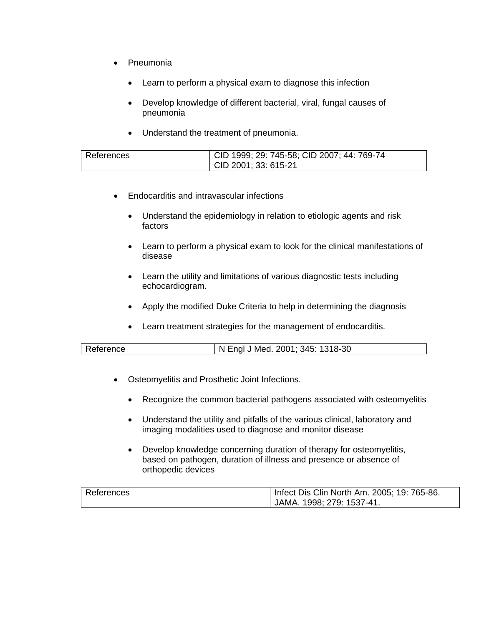- Pneumonia
	- Learn to perform a physical exam to diagnose this infection
	- Develop knowledge of different bacterial, viral, fungal causes of pneumonia
	- Understand the treatment of pneumonia.

| References | CID 1999; 29: 745-58; CID 2007; 44: 769-74 |
|------------|--------------------------------------------|
|            |                                            |
|            | $\vert$ CID 2001; 33: 615-21               |

- Endocarditis and intravascular infections
	- Understand the epidemiology in relation to etiologic agents and risk factors
	- Learn to perform a physical exam to look for the clinical manifestations of disease
	- Learn the utility and limitations of various diagnostic tests including echocardiogram.
	- Apply the modified Duke Criteria to help in determining the diagnosis
	- Learn treatment strategies for the management of endocarditis.

| Reference<br>N Engl J Med. 2001; 345: 1318-30 N |  |
|-------------------------------------------------|--|
|-------------------------------------------------|--|

- Osteomyelitis and Prosthetic Joint Infections.
	- Recognize the common bacterial pathogens associated with osteomyelitis
	- Understand the utility and pitfalls of the various clinical, laboratory and imaging modalities used to diagnose and monitor disease
	- Develop knowledge concerning duration of therapy for osteomyelitis, based on pathogen, duration of illness and presence or absence of orthopedic devices

| References | Infect Dis Clin North Am. 2005; 19: 765-86. |
|------------|---------------------------------------------|
|            | JAMA. 1998; 279: 1537-41.                   |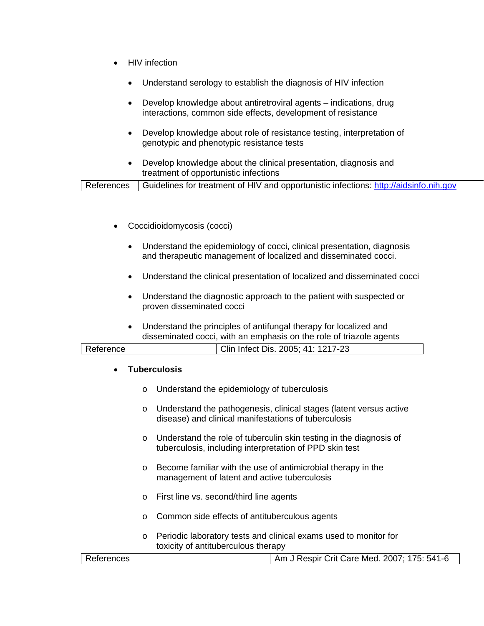- HIV infection
	- Understand serology to establish the diagnosis of HIV infection
	- Develop knowledge about antiretroviral agents indications, drug interactions, common side effects, development of resistance
	- Develop knowledge about role of resistance testing, interpretation of genotypic and phenotypic resistance tests
	- Develop knowledge about the clinical presentation, diagnosis and treatment of opportunistic infections

- Coccidioidomycosis (cocci)
	- Understand the epidemiology of cocci, clinical presentation, diagnosis and therapeutic management of localized and disseminated cocci.
	- Understand the clinical presentation of localized and disseminated cocci
	- Understand the diagnostic approach to the patient with suspected or proven disseminated cocci
	- Understand the principles of antifungal therapy for localized and disseminated cocci, with an emphasis on the role of triazole agents

| Reference | Clin Infect Dis. 2005; 41: 1217-23 |  |
|-----------|------------------------------------|--|
|           |                                    |  |

#### • **Tuberculosis**

- o Understand the epidemiology of tuberculosis
- o Understand the pathogenesis, clinical stages (latent versus active disease) and clinical manifestations of tuberculosis
- o Understand the role of tuberculin skin testing in the diagnosis of tuberculosis, including interpretation of PPD skin test
- o Become familiar with the use of antimicrobial therapy in the management of latent and active tuberculosis
- o First line vs. second/third line agents
- o Common side effects of antituberculous agents
- o Periodic laboratory tests and clinical exams used to monitor for toxicity of antituberculous therapy

|  | References | Am J Respir Crit Care Med. 2007; 175: 541-6 |
|--|------------|---------------------------------------------|
|--|------------|---------------------------------------------|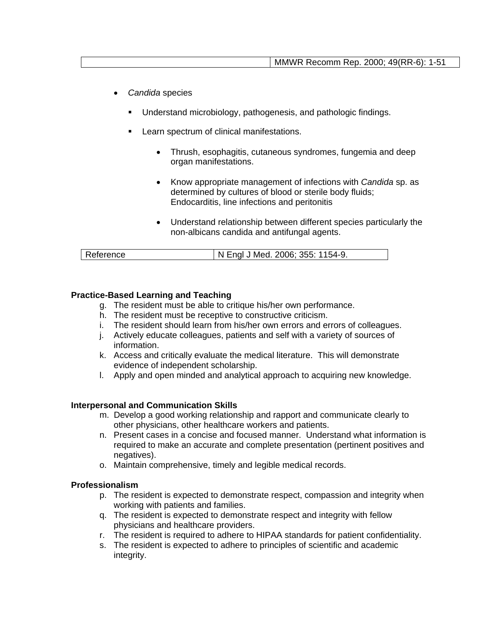- *Candida* species
	- Understand microbiology, pathogenesis, and pathologic findings.
	- Learn spectrum of clinical manifestations.
		- Thrush, esophagitis, cutaneous syndromes, fungemia and deep organ manifestations.
		- Know appropriate management of infections with *Candida* sp. as determined by cultures of blood or sterile body fluids; Endocarditis, line infections and peritonitis
		- Understand relationship between different species particularly the non-albicans candida and antifungal agents.

| Reference | I N Engl J Med. 2006; 355: 1154-9. |
|-----------|------------------------------------|

## **Practice-Based Learning and Teaching**

- g. The resident must be able to critique his/her own performance.
- h. The resident must be receptive to constructive criticism.
- i. The resident should learn from his/her own errors and errors of colleagues.
- j. Actively educate colleagues, patients and self with a variety of sources of information.
- k. Access and critically evaluate the medical literature. This will demonstrate evidence of independent scholarship.
- l. Apply and open minded and analytical approach to acquiring new knowledge.

#### **Interpersonal and Communication Skills**

- m. Develop a good working relationship and rapport and communicate clearly to other physicians, other healthcare workers and patients.
- n. Present cases in a concise and focused manner. Understand what information is required to make an accurate and complete presentation (pertinent positives and negatives).
- o. Maintain comprehensive, timely and legible medical records.

#### **Professionalism**

- p. The resident is expected to demonstrate respect, compassion and integrity when working with patients and families.
- q. The resident is expected to demonstrate respect and integrity with fellow physicians and healthcare providers.
- r. The resident is required to adhere to HIPAA standards for patient confidentiality.
- s. The resident is expected to adhere to principles of scientific and academic integrity.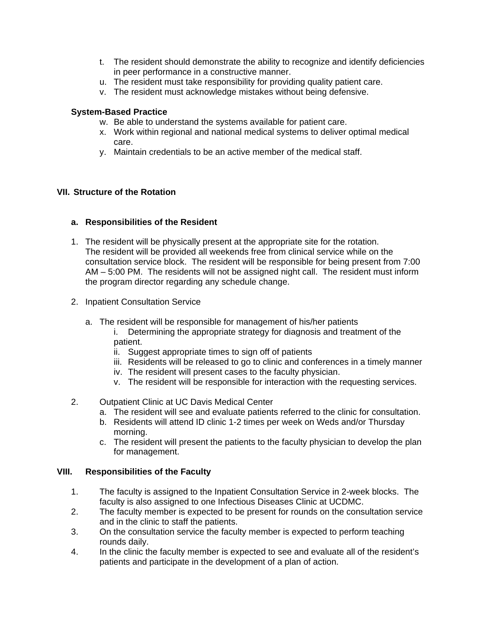- t. The resident should demonstrate the ability to recognize and identify deficiencies in peer performance in a constructive manner.
- u. The resident must take responsibility for providing quality patient care.
- v. The resident must acknowledge mistakes without being defensive.

### **System-Based Practice**

- w. Be able to understand the systems available for patient care.
- x. Work within regional and national medical systems to deliver optimal medical care.
- y. Maintain credentials to be an active member of the medical staff.

## **VII. Structure of the Rotation**

### **a. Responsibilities of the Resident**

- 1. The resident will be physically present at the appropriate site for the rotation. The resident will be provided all weekends free from clinical service while on the consultation service block. The resident will be responsible for being present from 7:00 AM – 5:00 PM. The residents will not be assigned night call. The resident must inform the program director regarding any schedule change.
- 2. Inpatient Consultation Service
	- a. The resident will be responsible for management of his/her patients
		- i. Determining the appropriate strategy for diagnosis and treatment of the patient.
		- ii. Suggest appropriate times to sign off of patients
		- iii. Residents will be released to go to clinic and conferences in a timely manner
		- iv. The resident will present cases to the faculty physician.
		- v. The resident will be responsible for interaction with the requesting services.
- 2. Outpatient Clinic at UC Davis Medical Center
	- a. The resident will see and evaluate patients referred to the clinic for consultation.
	- b. Residents will attend ID clinic 1-2 times per week on Weds and/or Thursday morning.
	- c. The resident will present the patients to the faculty physician to develop the plan for management.

#### **VIII. Responsibilities of the Faculty**

- 1. The faculty is assigned to the Inpatient Consultation Service in 2-week blocks. The faculty is also assigned to one Infectious Diseases Clinic at UCDMC.
- 2. The faculty member is expected to be present for rounds on the consultation service and in the clinic to staff the patients.
- 3. On the consultation service the faculty member is expected to perform teaching rounds daily.
- 4. In the clinic the faculty member is expected to see and evaluate all of the resident's patients and participate in the development of a plan of action.